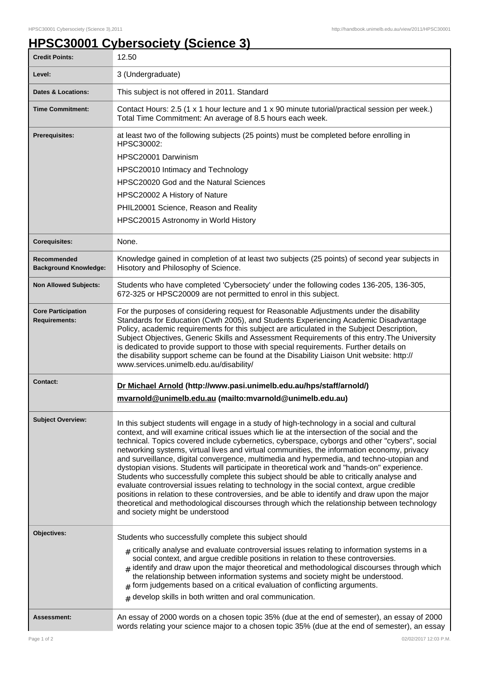## **HPSC30001 Cybersociety (Science 3)**

| <b>Credit Points:</b>                             | 12.50                                                                                                                                                                                                                                                                                                                                                                                                                                                                                                                                                                                                                                                                                                                                                                                                                                                                                                                                                                                                                |
|---------------------------------------------------|----------------------------------------------------------------------------------------------------------------------------------------------------------------------------------------------------------------------------------------------------------------------------------------------------------------------------------------------------------------------------------------------------------------------------------------------------------------------------------------------------------------------------------------------------------------------------------------------------------------------------------------------------------------------------------------------------------------------------------------------------------------------------------------------------------------------------------------------------------------------------------------------------------------------------------------------------------------------------------------------------------------------|
| Level:                                            | 3 (Undergraduate)                                                                                                                                                                                                                                                                                                                                                                                                                                                                                                                                                                                                                                                                                                                                                                                                                                                                                                                                                                                                    |
| <b>Dates &amp; Locations:</b>                     | This subject is not offered in 2011. Standard                                                                                                                                                                                                                                                                                                                                                                                                                                                                                                                                                                                                                                                                                                                                                                                                                                                                                                                                                                        |
| <b>Time Commitment:</b>                           | Contact Hours: 2.5 (1 x 1 hour lecture and 1 x 90 minute tutorial/practical session per week.)<br>Total Time Commitment: An average of 8.5 hours each week.                                                                                                                                                                                                                                                                                                                                                                                                                                                                                                                                                                                                                                                                                                                                                                                                                                                          |
| Prerequisites:                                    | at least two of the following subjects (25 points) must be completed before enrolling in<br>HPSC30002:<br>HPSC20001 Darwinism<br>HPSC20010 Intimacy and Technology<br>HPSC20020 God and the Natural Sciences<br>HPSC20002 A History of Nature<br>PHIL20001 Science, Reason and Reality<br>HPSC20015 Astronomy in World History                                                                                                                                                                                                                                                                                                                                                                                                                                                                                                                                                                                                                                                                                       |
| <b>Corequisites:</b>                              | None.                                                                                                                                                                                                                                                                                                                                                                                                                                                                                                                                                                                                                                                                                                                                                                                                                                                                                                                                                                                                                |
| Recommended<br><b>Background Knowledge:</b>       | Knowledge gained in completion of at least two subjects (25 points) of second year subjects in<br>Hisotory and Philosophy of Science.                                                                                                                                                                                                                                                                                                                                                                                                                                                                                                                                                                                                                                                                                                                                                                                                                                                                                |
| <b>Non Allowed Subjects:</b>                      | Students who have completed 'Cybersociety' under the following codes 136-205, 136-305,<br>672-325 or HPSC20009 are not permitted to enrol in this subject.                                                                                                                                                                                                                                                                                                                                                                                                                                                                                                                                                                                                                                                                                                                                                                                                                                                           |
| <b>Core Participation</b><br><b>Requirements:</b> | For the purposes of considering request for Reasonable Adjustments under the disability<br>Standards for Education (Cwth 2005), and Students Experiencing Academic Disadvantage<br>Policy, academic requirements for this subject are articulated in the Subject Description,<br>Subject Objectives, Generic Skills and Assessment Requirements of this entry. The University<br>is dedicated to provide support to those with special requirements. Further details on<br>the disability support scheme can be found at the Disability Liaison Unit website: http://<br>www.services.unimelb.edu.au/disability/                                                                                                                                                                                                                                                                                                                                                                                                     |
| <b>Contact:</b>                                   | Dr Michael Arnold (http://www.pasi.unimelb.edu.au/hps/staff/arnold/)<br>mvarnold@unimelb.edu.au (mailto:mvarnold@unimelb.edu.au)                                                                                                                                                                                                                                                                                                                                                                                                                                                                                                                                                                                                                                                                                                                                                                                                                                                                                     |
| <b>Subject Overview:</b>                          | In this subject students will engage in a study of high-technology in a social and cultural<br>context, and will examine critical issues which lie at the intersection of the social and the<br>technical. Topics covered include cybernetics, cyberspace, cyborgs and other "cybers", social<br>networking systems, virtual lives and virtual communities, the information economy, privacy<br>and surveillance, digital convergence, multimedia and hypermedia, and techno-utopian and<br>dystopian visions. Students will participate in theoretical work and "hands-on" experience.<br>Students who successfully complete this subject should be able to critically analyse and<br>evaluate controversial issues relating to technology in the social context, argue credible<br>positions in relation to these controversies, and be able to identify and draw upon the major<br>theoretical and methodological discourses through which the relationship between technology<br>and society might be understood |
| Objectives:                                       | Students who successfully complete this subject should                                                                                                                                                                                                                                                                                                                                                                                                                                                                                                                                                                                                                                                                                                                                                                                                                                                                                                                                                               |
|                                                   | $_{\#}$ critically analyse and evaluate controversial issues relating to information systems in a<br>social context, and argue credible positions in relation to these controversies.<br>$_{\#}$ identify and draw upon the major theoretical and methodological discourses through which<br>the relationship between information systems and society might be understood.<br>$*$ form judgements based on a critical evaluation of conflicting arguments.<br>$#$ develop skills in both written and oral communication.                                                                                                                                                                                                                                                                                                                                                                                                                                                                                             |
| Assessment:                                       | An essay of 2000 words on a chosen topic 35% (due at the end of semester), an essay of 2000<br>words relating your science major to a chosen topic 35% (due at the end of semester), an essay                                                                                                                                                                                                                                                                                                                                                                                                                                                                                                                                                                                                                                                                                                                                                                                                                        |